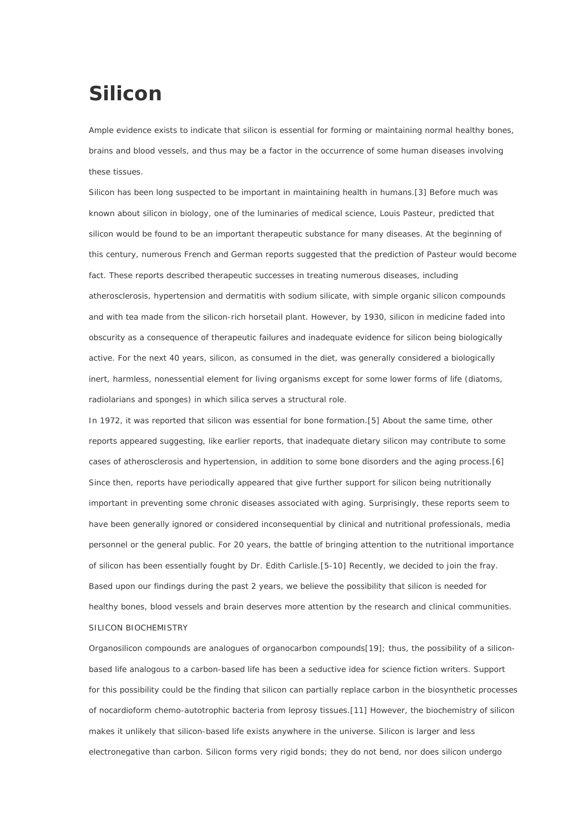# **Silicon**

Ample evidence exists to indicate that silicon is essential for forming or maintaining normal healthy bones, brains and blood vessels, and thus may be a factor in the occurrence of some human diseases involving these tissues.

Silicon has been long suspected to be important in maintaining health in humans.[3] Before much was known about silicon in biology, one of the luminaries of medical science, Louis Pasteur, predicted that silicon would be found to be an important therapeutic substance for many diseases. At the beginning of this century, numerous French and German reports suggested that the prediction of Pasteur would become fact. These reports described therapeutic successes in treating numerous diseases, including atherosclerosis, hypertension and dermatitis with sodium silicate, with simple organic silicon compounds and with tea made from the silicon-rich horsetail plant. However, by 1930, silicon in medicine faded into obscurity as a consequence of therapeutic failures and inadequate evidence for silicon being biologically active. For the next 40 years, silicon, as consumed in the diet, was generally considered a biologically inert, harmless, nonessential element for living organisms except for some lower forms of life (diatoms, radiolarians and sponges) in which silica serves a structural role.

In 1972, it was reported that silicon was essential for bone formation.[5] About the same time, other reports appeared suggesting, like earlier reports, that inadequate dietary silicon may contribute to some cases of atherosclerosis and hypertension, in addition to some bone disorders and the aging process.[6] Since then, reports have periodically appeared that give further support for silicon being nutritionally important in preventing some chronic diseases associated with aging. Surprisingly, these reports seem to have been generally ignored or considered inconsequential by clinical and nutritional professionals, media personnel or the general public. For 20 years, the battle of bringing attention to the nutritional importance of silicon has been essentially fought by Dr. Edith Carlisle.[5-10] Recently, we decided to join the fray. Based upon our findings during the past 2 years, we believe the possibility that silicon is needed for healthy bones, blood vessels and brain deserves more attention by the research and clinical communities. SILICON BIOCHEMISTRY

Organosilicon compounds are analogues of organocarbon compounds[19]; thus, the possibility of a siliconbased life analogous to a carbon-based life has been a seductive idea for science fiction writers. Support for this possibility could be the finding that silicon can partially replace carbon in the biosynthetic processes of nocardioform chemo-autotrophic bacteria from leprosy tissues.[11] However, the biochemistry of silicon makes it unlikely that silicon-based life exists anywhere in the universe. Silicon is larger and less electronegative than carbon. Silicon forms very rigid bonds; they do not bend, nor does silicon undergo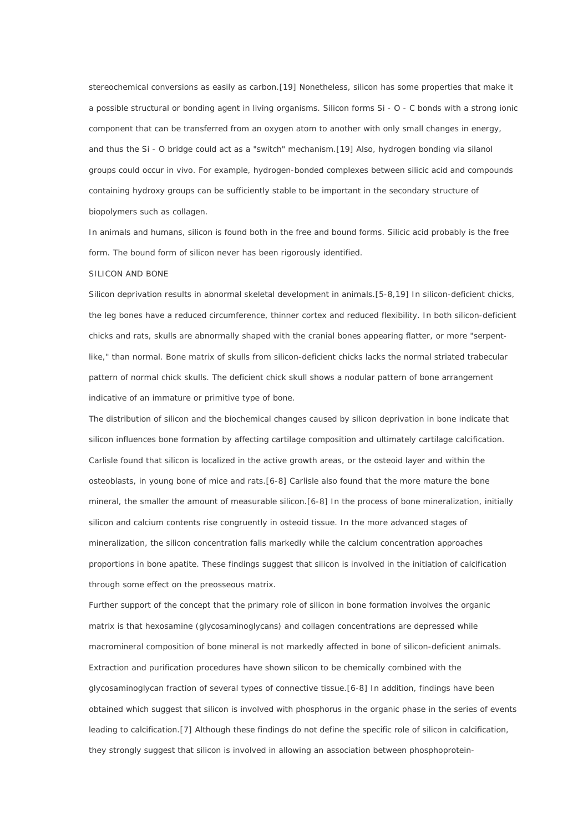stereochemical conversions as easily as carbon.[19] Nonetheless, silicon has some properties that make it a possible structural or bonding agent in living organisms. Silicon forms Si - O - C bonds with a strong ionic component that can be transferred from an oxygen atom to another with only small changes in energy, and thus the Si - O bridge could act as a "switch" mechanism.[19] Also, hydrogen bonding via silanol groups could occur in vivo. For example, hydrogen-bonded complexes between silicic acid and compounds containing hydroxy groups can be sufficiently stable to be important in the secondary structure of biopolymers such as collagen.

In animals and humans, silicon is found both in the free and bound forms. Silicic acid probably is the free form. The bound form of silicon never has been rigorously identified.

#### SILICON AND BONE

Silicon deprivation results in abnormal skeletal development in animals.[5-8,19] In silicon-deficient chicks, the leg bones have a reduced circumference, thinner cortex and reduced flexibility. In both silicon-deficient chicks and rats, skulls are abnormally shaped with the cranial bones appearing flatter, or more "serpentlike," than normal. Bone matrix of skulls from silicon-deficient chicks lacks the normal striated trabecular pattern of normal chick skulls. The deficient chick skull shows a nodular pattern of bone arrangement indicative of an immature or primitive type of bone.

The distribution of silicon and the biochemical changes caused by silicon deprivation in bone indicate that silicon influences bone formation by affecting cartilage composition and ultimately cartilage calcification. Carlisle found that silicon is localized in the active growth areas, or the osteoid layer and within the osteoblasts, in young bone of mice and rats.[6-8] Carlisle also found that the more mature the bone mineral, the smaller the amount of measurable silicon.[6-8] In the process of bone mineralization, initially silicon and calcium contents rise congruently in osteoid tissue. In the more advanced stages of mineralization, the silicon concentration falls markedly while the calcium concentration approaches proportions in bone apatite. These findings suggest that silicon is involved in the initiation of calcification through some effect on the preosseous matrix.

Further support of the concept that the primary role of silicon in bone formation involves the organic matrix is that hexosamine (glycosaminoglycans) and collagen concentrations are depressed while macromineral composition of bone mineral is not markedly affected in bone of silicon-deficient animals. Extraction and purification procedures have shown silicon to be chemically combined with the glycosaminoglycan fraction of several types of connective tissue.[6-8] In addition, findings have been obtained which suggest that silicon is involved with phosphorus in the organic phase in the series of events leading to calcification.[7] Although these findings do not define the specific role of silicon in calcification, they strongly suggest that silicon is involved in allowing an association between phosphoprotein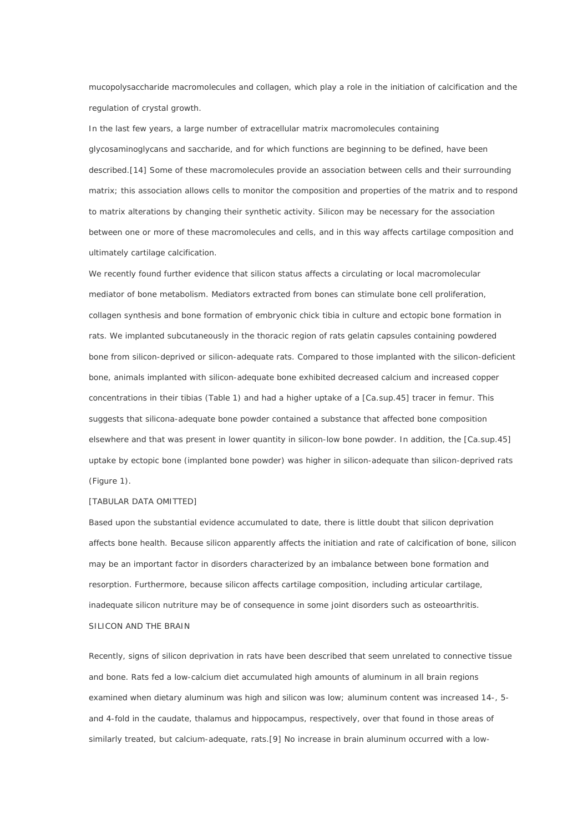mucopolysaccharide macromolecules and collagen, which play a role in the initiation of calcification and the regulation of crystal growth.

In the last few years, a large number of extracellular matrix macromolecules containing glycosaminoglycans and saccharide, and for which functions are beginning to be defined, have been described.[14] Some of these macromolecules provide an association between cells and their surrounding matrix; this association allows cells to monitor the composition and properties of the matrix and to respond to matrix alterations by changing their synthetic activity. Silicon may be necessary for the association between one or more of these macromolecules and cells, and in this way affects cartilage composition and ultimately cartilage calcification.

We recently found further evidence that silicon status affects a circulating or local macromolecular mediator of bone metabolism. Mediators extracted from bones can stimulate bone cell proliferation, collagen synthesis and bone formation of embryonic chick tibia in culture and ectopic bone formation in rats. We implanted subcutaneously in the thoracic region of rats gelatin capsules containing powdered bone from silicon-deprived or silicon-adequate rats. Compared to those implanted with the silicon-deficient bone, animals implanted with silicon-adequate bone exhibited decreased calcium and increased copper concentrations in their tibias (Table 1) and had a higher uptake of a [Ca.sup.45] tracer in femur. This suggests that silicona-adequate bone powder contained a substance that affected bone composition elsewhere and that was present in lower quantity in silicon-low bone powder. In addition, the [Ca.sup.45] uptake by ectopic bone (implanted bone powder) was higher in silicon-adequate than silicon-deprived rats (Figure 1).

#### [TABULAR DATA OMITTED]

Based upon the substantial evidence accumulated to date, there is little doubt that silicon deprivation affects bone health. Because silicon apparently affects the initiation and rate of calcification of bone, silicon may be an important factor in disorders characterized by an imbalance between bone formation and resorption. Furthermore, because silicon affects cartilage composition, including articular cartilage, inadequate silicon nutriture may be of consequence in some joint disorders such as osteoarthritis. SILICON AND THE BRAIN

Recently, signs of silicon deprivation in rats have been described that seem unrelated to connective tissue and bone. Rats fed a low-calcium diet accumulated high amounts of aluminum in all brain regions examined when dietary aluminum was high and silicon was low; aluminum content was increased 14-, 5 and 4-fold in the caudate, thalamus and hippocampus, respectively, over that found in those areas of similarly treated, but calcium-adequate, rats.[9] No increase in brain aluminum occurred with a low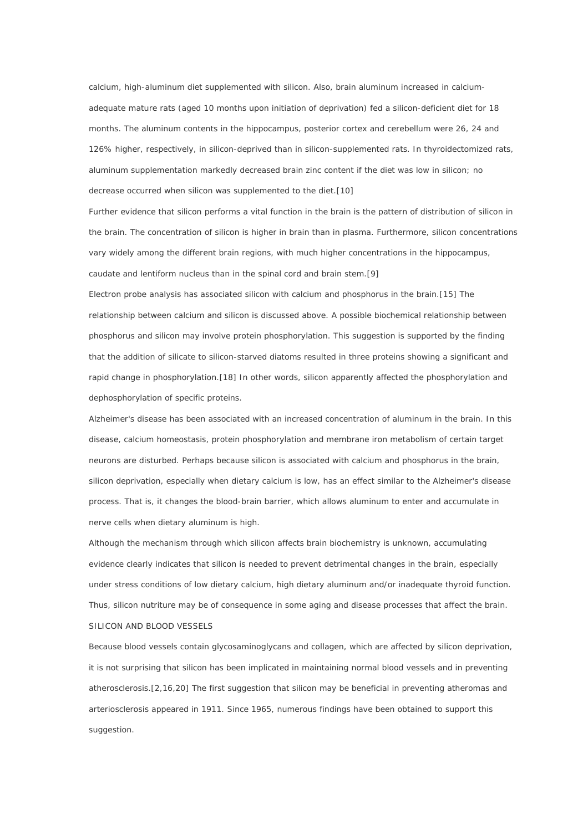calcium, high-aluminum diet supplemented with silicon. Also, brain aluminum increased in calciumadequate mature rats (aged 10 months upon initiation of deprivation) fed a silicon-deficient diet for 18 months. The aluminum contents in the hippocampus, posterior cortex and cerebellum were 26, 24 and 126% higher, respectively, in silicon-deprived than in silicon-supplemented rats. In thyroidectomized rats, aluminum supplementation markedly decreased brain zinc content if the diet was low in silicon; no decrease occurred when silicon was supplemented to the diet.[10]

Further evidence that silicon performs a vital function in the brain is the pattern of distribution of silicon in the brain. The concentration of silicon is higher in brain than in plasma. Furthermore, silicon concentrations vary widely among the different brain regions, with much higher concentrations in the hippocampus, caudate and lentiform nucleus than in the spinal cord and brain stem.[9]

Electron probe analysis has associated silicon with calcium and phosphorus in the brain.[15] The relationship between calcium and silicon is discussed above. A possible biochemical relationship between phosphorus and silicon may involve protein phosphorylation. This suggestion is supported by the finding that the addition of silicate to silicon-starved diatoms resulted in three proteins showing a significant and rapid change in phosphorylation.[18] In other words, silicon apparently affected the phosphorylation and dephosphorylation of specific proteins.

Alzheimer's disease has been associated with an increased concentration of aluminum in the brain. In this disease, calcium homeostasis, protein phosphorylation and membrane iron metabolism of certain target neurons are disturbed. Perhaps because silicon is associated with calcium and phosphorus in the brain, silicon deprivation, especially when dietary calcium is low, has an effect similar to the Alzheimer's disease process. That is, it changes the blood-brain barrier, which allows aluminum to enter and accumulate in nerve cells when dietary aluminum is high.

Although the mechanism through which silicon affects brain biochemistry is unknown, accumulating evidence clearly indicates that silicon is needed to prevent detrimental changes in the brain, especially under stress conditions of low dietary calcium, high dietary aluminum and/or inadequate thyroid function. Thus, silicon nutriture may be of consequence in some aging and disease processes that affect the brain. SILICON AND BLOOD VESSELS

Because blood vessels contain glycosaminoglycans and collagen, which are affected by silicon deprivation, it is not surprising that silicon has been implicated in maintaining normal blood vessels and in preventing atherosclerosis.[2,16,20] The first suggestion that silicon may be beneficial in preventing atheromas and arteriosclerosis appeared in 1911. Since 1965, numerous findings have been obtained to support this suggestion.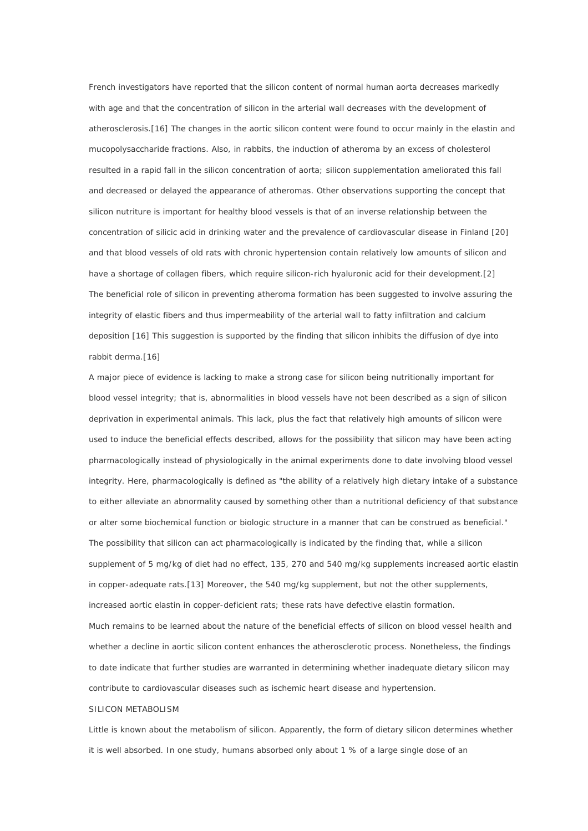French investigators have reported that the silicon content of normal human aorta decreases markedly with age and that the concentration of silicon in the arterial wall decreases with the development of atherosclerosis.[16] The changes in the aortic silicon content were found to occur mainly in the elastin and mucopolysaccharide fractions. Also, in rabbits, the induction of atheroma by an excess of cholesterol resulted in a rapid fall in the silicon concentration of aorta; silicon supplementation ameliorated this fall and decreased or delayed the appearance of atheromas. Other observations supporting the concept that silicon nutriture is important for healthy blood vessels is that of an inverse relationship between the concentration of silicic acid in drinking water and the prevalence of cardiovascular disease in Finland [20] and that blood vessels of old rats with chronic hypertension contain relatively low amounts of silicon and have a shortage of collagen fibers, which require silicon-rich hyaluronic acid for their development.[2] The beneficial role of silicon in preventing atheroma formation has been suggested to involve assuring the integrity of elastic fibers and thus impermeability of the arterial wall to fatty infiltration and calcium deposition [16] This suggestion is supported by the finding that silicon inhibits the diffusion of dye into rabbit derma.[16]

A major piece of evidence is lacking to make a strong case for silicon being nutritionally important for blood vessel integrity; that is, abnormalities in blood vessels have not been described as a sign of silicon deprivation in experimental animals. This lack, plus the fact that relatively high amounts of silicon were used to induce the beneficial effects described, allows for the possibility that silicon may have been acting pharmacologically instead of physiologically in the animal experiments done to date involving blood vessel integrity. Here, pharmacologically is defined as "the ability of a relatively high dietary intake of a substance to either alleviate an abnormality caused by something other than a nutritional deficiency of that substance or alter some biochemical function or biologic structure in a manner that can be construed as beneficial." The possibility that silicon can act pharmacologically is indicated by the finding that, while a silicon supplement of 5 mg/kg of diet had no effect, 135, 270 and 540 mg/kg supplements increased aortic elastin in copper-adequate rats.[13] Moreover, the 540 mg/kg supplement, but not the other supplements, increased aortic elastin in copper-deficient rats; these rats have defective elastin formation. Much remains to be learned about the nature of the beneficial effects of silicon on blood vessel health and whether a decline in aortic silicon content enhances the atherosclerotic process. Nonetheless, the findings to date indicate that further studies are warranted in determining whether inadequate dietary silicon may contribute to cardiovascular diseases such as ischemic heart disease and hypertension.

#### SILICON METABOLISM

Little is known about the metabolism of silicon. Apparently, the form of dietary silicon determines whether it is well absorbed. In one study, humans absorbed only about 1 % of a large single dose of an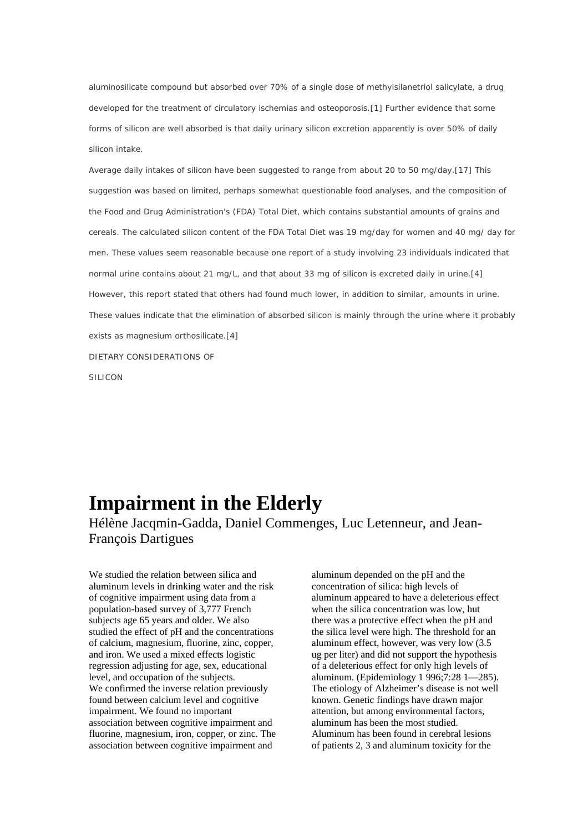aluminosilicate compound but absorbed over 70% of a single dose of methylsilanetriol salicylate, a drug developed for the treatment of circulatory ischemias and osteoporosis.[1] Further evidence that some forms of silicon are well absorbed is that daily urinary silicon excretion apparently is over 50% of daily silicon intake.

Average daily intakes of silicon have been suggested to range from about 20 to 50 mg/day.[17] This suggestion was based on limited, perhaps somewhat questionable food analyses, and the composition of the Food and Drug Administration's (FDA) Total Diet, which contains substantial amounts of grains and cereals. The calculated silicon content of the FDA Total Diet was 19 mg/day for women and 40 mg/ day for men. These values seem reasonable because one report of a study involving 23 individuals indicated that normal urine contains about 21 mg/L, and that about 33 mg of silicon is excreted daily in urine.[4] However, this report stated that others had found much lower, in addition to similar, amounts in urine. These values indicate that the elimination of absorbed silicon is mainly through the urine where it probably exists as magnesium orthosilicate.[4] DIETARY CONSIDERATIONS OF SILICON

## **Impairment in the Elderly**

Hélène Jacqmin-Gadda, Daniel Commenges, Luc Letenneur, and Jean-François Dartigues

We studied the relation between silica and aluminum levels in drinking water and the risk of cognitive impairment using data from a population-based survey of 3,777 French subjects age 65 years and older. We also studied the effect of pH and the concentrations of calcium, magnesium, fluorine, zinc, copper, and iron. We used a mixed effects logistic regression adjusting for age, sex, educational level, and occupation of the subjects. We confirmed the inverse relation previously found between calcium level and cognitive impairment. We found no important association between cognitive impairment and fluorine, magnesium, iron, copper, or zinc. The association between cognitive impairment and

aluminum depended on the pH and the concentration of silica: high levels of aluminum appeared to have a deleterious effect when the silica concentration was low, hut there was a protective effect when the pH and the silica level were high. The threshold for an aluminum effect, however, was very low (3.5 ug per liter) and did not support the hypothesis of a deleterious effect for only high levels of aluminum. (Epidemiology 1 996;7:28 1—285). The etiology of Alzheimer's disease is not well known. Genetic findings have drawn major attention, but among environmental factors, aluminum has been the most studied. Aluminum has been found in cerebral lesions of patients 2, 3 and aluminum toxicity for the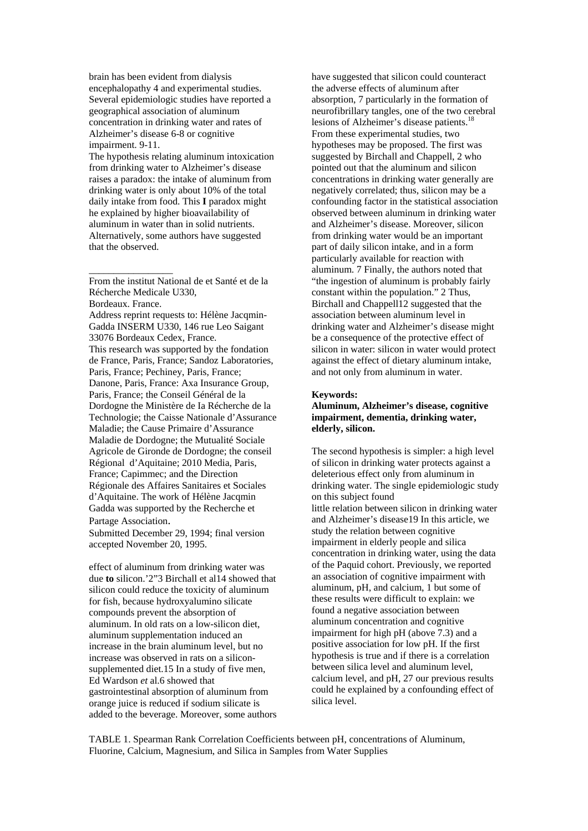brain has been evident from dialysis encephalopathy 4 and experimental studies. Several epidemiologic studies have reported a geographical association of aluminum concentration in drinking water and rates of Alzheimer's disease 6-8 or cognitive impairment. 9-11.

The hypothesis relating aluminum intoxication from drinking water to Alzheimer's disease raises a paradox: the intake of aluminum from drinking water is only about 10% of the total daily intake from food. This **I** paradox might he explained by higher bioavailability of aluminum in water than in solid nutrients. Alternatively, some authors have suggested that the observed.

From the institut National de et Santé et de la Récherche Medicale U330,

Bordeaux. France.

\_\_\_\_\_\_\_\_\_\_\_\_\_\_\_\_\_

Address reprint requests to: Hélène Jacqmin-Gadda INSERM U330, 146 rue Leo Saigant 33076 Bordeaux Cedex, France. This research was supported by the fondation de France, Paris, France; Sandoz Laboratories, Paris, France; Pechiney, Paris, France; Danone, Paris, France: Axa Insurance Group, Paris, France; the Conseil Général de la Dordogne the Ministère de Ia Récherche de la Technologie; the Caisse Nationale d'Assurance Maladie; the Cause Primaire d'Assurance Maladie de Dordogne; the Mutualité Sociale Agricole de Gironde de Dordogne; the conseil Régional d'Aquitaine; 2010 Media, Paris, France; Capimmec; and the Direction Régionale des Affaires Sanitaires et Sociales d'Aquitaine. The work of Hélène Jacqmin Gadda was supported by the Recherche et Partage Association. Submitted December 29, 1994; final version

accepted November 20, 1995.

effect of aluminum from drinking water was due **to** silicon.'2"3 Birchall et al14 showed that silicon could reduce the toxicity of aluminum for fish, because hydroxyalumino silicate compounds prevent the absorption of aluminum. In old rats on a low-silicon diet, aluminum supplementation induced an increase in the brain aluminum level, but no increase was observed in rats on a siliconsupplemented diet.15 In a study of five men, Ed Wardson *et* al.6 showed that gastrointestinal absorption of aluminum from orange juice is reduced if sodium silicate is added to the beverage. Moreover, some authors

have suggested that silicon could counteract the adverse effects of aluminum after absorption, 7 particularly in the formation of neurofibrillary tangles, one of the two cerebral lesions of Alzheimer's disease patients.<sup>18</sup> From these experimental studies, two hypotheses may be proposed. The first was suggested by Birchall and Chappell, 2 who pointed out that the aluminum and silicon concentrations in drinking water generally are negatively correlated; thus, silicon may be a confounding factor in the statistical association observed between aluminum in drinking water and Alzheimer's disease. Moreover, silicon from drinking water would be an important part of daily silicon intake, and in a form particularly available for reaction with aluminum. 7 Finally, the authors noted that "the ingestion of aluminum is probably fairly constant within the population." 2 Thus, Birchall and Chappell12 suggested that the association between aluminum level in drinking water and Alzheimer's disease might be a consequence of the protective effect of silicon in water: silicon in water would protect against the effect of dietary aluminum intake, and not only from aluminum in water.

#### **Keywords:**

#### **Aluminum, Alzheimer's disease, cognitive impairment, dementia, drinking water, elderly, silicon.**

The second hypothesis is simpler: a high level of silicon in drinking water protects against a deleterious effect only from aluminum in drinking water. The single epidemiologic study on this subject found little relation between silicon in drinking water and Alzheimer's disease19 In this article, we study the relation between cognitive impairment in elderly people and silica concentration in drinking water, using the data of the Paquid cohort. Previously, we reported an association of cognitive impairment with aluminum, pH, and calcium, 1 but some of these results were difficult to explain: we found a negative association between aluminum concentration and cognitive impairment for high pH (above 7.3) and a positive association for low pH. If the first hypothesis is true and if there is a correlation between silica level and aluminum level, calcium level, and pH, 27 our previous results could he explained by a confounding effect of silica level.

TABLE 1. Spearman Rank Correlation Coefficients between pH, concentrations of Aluminum, Fluorine, Calcium, Magnesium, and Silica in Samples from Water Supplies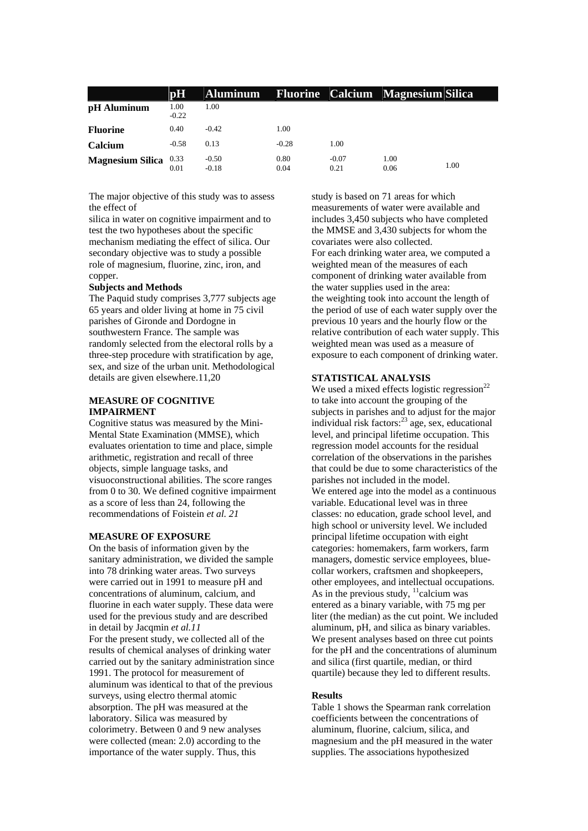|                       | pН              | <b>Aluminum</b>    |              |                 | <b>Fluorine Calcium Magnesium Silica</b> |      |
|-----------------------|-----------------|--------------------|--------------|-----------------|------------------------------------------|------|
| pH Aluminum           | 1.00<br>$-0.22$ | 1.00               |              |                 |                                          |      |
| <b>Fluorine</b>       | 0.40            | $-0.42$            | 1.00         |                 |                                          |      |
| Calcium               | $-0.58$         | 0.13               | $-0.28$      | 1.00            |                                          |      |
| Magnesium Silica 0.33 | 0.01            | $-0.50$<br>$-0.18$ | 0.80<br>0.04 | $-0.07$<br>0.21 | 1.00<br>0.06                             | 1.00 |

The major objective of this study was to assess the effect of

silica in water on cognitive impairment and to test the two hypotheses about the specific mechanism mediating the effect of silica. Our secondary objective was to study a possible role of magnesium, fluorine, zinc, iron, and copper.

#### **Subjects and Methods**

The Paquid study comprises 3,777 subjects age 65 years and older living at home in 75 civil parishes of Gironde and Dordogne in southwestern France. The sample was randomly selected from the electoral rolls by a three-step procedure with stratification by age, sex, and size of the urban unit. Methodological details are given elsewhere.11,20

#### **MEASURE OF COGNITIVE IMPAIRMENT**

Cognitive status was measured by the Mini-Mental State Examination (MMSE), which evaluates orientation to time and place, simple arithmetic, registration and recall of three objects, simple language tasks, and visuoconstructional abilities. The score ranges from 0 to 30. We defined cognitive impairment as a score of less than 24, following the recommendations of Foistein *et al. 21*

#### **MEASURE OF EXPOSURE**

On the basis of information given by the sanitary administration, we divided the sample into 78 drinking water areas. Two surveys were carried out in 1991 to measure pH and concentrations of aluminum, calcium, and fluorine in each water supply. These data were used for the previous study and are described in detail by Jacqmin *et al.11* For the present study, we collected all of the results of chemical analyses of drinking water carried out by the sanitary administration since 1991. The protocol for measurement of aluminum was identical to that of the previous surveys, using electro thermal atomic absorption. The pH was measured at the laboratory. Silica was measured by colorimetry. Between 0 and 9 new analyses were collected (mean: 2.0) according to the importance of the water supply. Thus, this

study is based on 71 areas for which measurements of water were available and includes 3,450 subjects who have completed the MMSE and 3,430 subjects for whom the covariates were also collected. For each drinking water area, we computed a weighted mean of the measures of each component of drinking water available from the water supplies used in the area: the weighting took into account the length of the period of use of each water supply over the previous 10 years and the hourly flow or the relative contribution of each water supply. This weighted mean was used as a measure of exposure to each component of drinking water.

#### **STATISTICAL ANALYSIS**

We used a mixed effects logistic regression<sup>22</sup> to take into account the grouping of the subjects in parishes and to adjust for the major individual risk factors: $^{23}$  age, sex, educational level, and principal lifetime occupation. This regression model accounts for the residual correlation of the observations in the parishes that could be due to some characteristics of the parishes not included in the model. We entered age into the model as a continuous variable. Educational level was in three classes: no education, grade school level, and high school or university level. We included principal lifetime occupation with eight categories: homemakers, farm workers, farm managers, domestic service employees, bluecollar workers, craftsmen and shopkeepers, other employees, and intellectual occupations. As in the previous study,  $\frac{11}{1}$ calcium was entered as a binary variable, with 75 mg per liter (the median) as the cut point. We included aluminum, pH, and silica as binary variables. We present analyses based on three cut points for the pH and the concentrations of aluminum and silica (first quartile, median, or third quartile) because they led to different results.

#### **Results**

Table 1 shows the Spearman rank correlation coefficients between the concentrations of aluminum, fluorine, calcium, silica, and magnesium and the pH measured in the water supplies. The associations hypothesized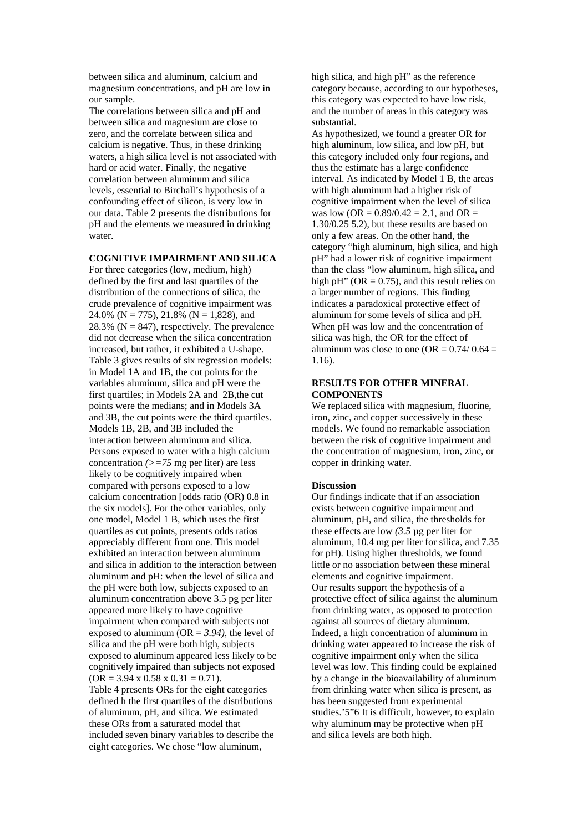between silica and aluminum, calcium and magnesium concentrations, and pH are low in our sample.

The correlations between silica and pH and between silica and magnesium are close to zero, and the correlate between silica and calcium is negative. Thus, in these drinking waters, a high silica level is not associated with hard or acid water. Finally, the negative correlation between aluminum and silica levels, essential to Birchall's hypothesis of a confounding effect of silicon, is very low in our data. Table 2 presents the distributions for pH and the elements we measured in drinking water.

#### **COGNITIVE IMPAIRMENT AND SILICA**

For three categories (low, medium, high) defined by the first and last quartiles of the distribution of the connections of silica, the crude prevalence of cognitive impairment was 24.0% ( $N = 775$ ), 21.8% ( $N = 1,828$ ), and 28.3% ( $N = 847$ ), respectively. The prevalence did not decrease when the silica concentration increased, but rather, it exhibited a U-shape. Table 3 gives results of six regression models: in Model 1A and 1B, the cut points for the variables aluminum, silica and pH were the first quartiles; in Models 2A and 2B,the cut points were the medians; and in Models 3A and 3B, the cut points were the third quartiles. Models 1B, 2B, and 3B included the interaction between aluminum and silica. Persons exposed to water with a high calcium concentration *(>=75* mg per liter) are less likely to be cognitively impaired when compared with persons exposed to a low calcium concentration [odds ratio (OR) 0.8 in the six models]. For the other variables, only one model, Model 1 B, which uses the first quartiles as cut points, presents odds ratios appreciably different from one. This model exhibited an interaction between aluminum and silica in addition to the interaction between aluminum and pH: when the level of silica and the pH were both low, subjects exposed to an aluminum concentration above 3.5 pg per liter appeared more likely to have cognitive impairment when compared with subjects not exposed to aluminum (OR = *3.94),* the level of silica and the pH were both high, subjects exposed to aluminum appeared less likely to be cognitively impaired than subjects not exposed  $(OR = 3.94 \times 0.58 \times 0.31 = 0.71).$ Table 4 presents ORs for the eight categories defined h the first quartiles of the distributions of aluminum, pH, and silica. We estimated these ORs from a saturated model that included seven binary variables to describe the eight categories. We chose "low aluminum,

high silica, and high pH" as the reference category because, according to our hypotheses, this category was expected to have low risk, and the number of areas in this category was substantial.

As hypothesized, we found a greater OR for high aluminum, low silica, and low pH, but this category included only four regions, and thus the estimate has a large confidence interval. As indicated by Model 1 B, the areas with high aluminum had a higher risk of cognitive impairment when the level of silica was low ( $OR = 0.89/0.42 = 2.1$ , and  $OR =$ 1.30/0.25 5.2), but these results are based on only a few areas. On the other hand, the category "high aluminum, high silica, and high pH" had a lower risk of cognitive impairment than the class "low aluminum, high silica, and high pH" ( $OR = 0.75$ ), and this result relies on a larger number of regions. This finding indicates a paradoxical protective effect of aluminum for some levels of silica and pH. When pH was low and the concentration of silica was high, the OR for the effect of aluminum was close to one (OR =  $0.74/0.64$  = 1.16).

#### **RESULTS FOR OTHER MINERAL COMPONENTS**

We replaced silica with magnesium, fluorine, iron, zinc, and copper successively in these models. We found no remarkable association between the risk of cognitive impairment and the concentration of magnesium, iron, zinc, or copper in drinking water.

#### **Discussion**

Our findings indicate that if an association exists between cognitive impairment and aluminum, pH, and silica, the thresholds for these effects are low *(3.5* µg per liter for aluminum, 10.4 mg per liter for silica, and 7.35 for pH). Using higher thresholds, we found little or no association between these mineral elements and cognitive impairment. Our results support the hypothesis of a protective effect of silica against the aluminum from drinking water, as opposed to protection against all sources of dietary aluminum. Indeed, a high concentration of aluminum in drinking water appeared to increase the risk of cognitive impairment only when the silica level was low. This finding could be explained by a change in the bioavailability of aluminum from drinking water when silica is present, as has been suggested from experimental studies.'5"6 It is difficult, however, to explain why aluminum may be protective when pH and silica levels are both high.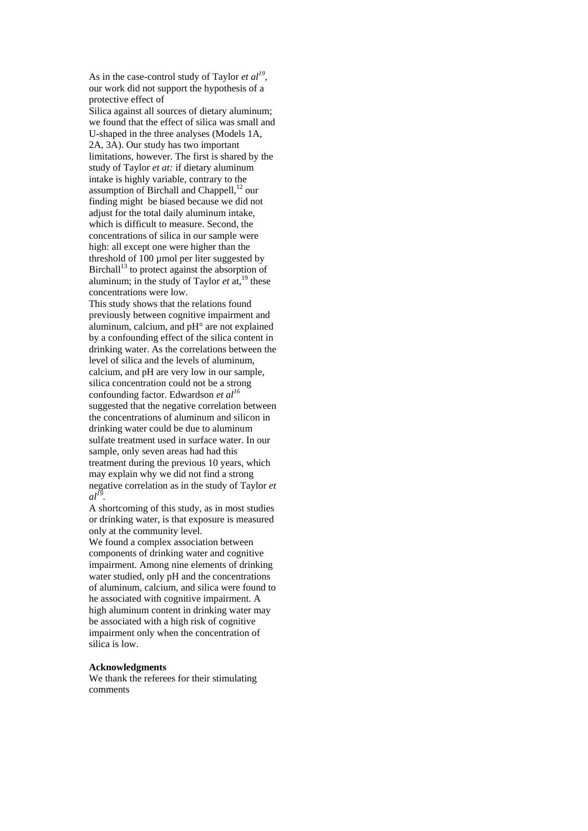As in the case-control study of Taylor *et al*<sup>19</sup>, our work did not support the hypothesis of a protective effect of

Silica against all sources of dietary aluminum; we found that the effect of silica was small and U-shaped in the three analyses (Models 1A, 2A, 3A). Our study has two important limitations, however. The first is shared by the study of Taylor *et at:* if dietary aluminum intake is highly variable, contrary to the assumption of Birchall and Chappell,<sup>12</sup> our finding might be biased because we did not adjust for the total daily aluminum intake. which is difficult to measure. Second, the concentrations of silica in our sample were high: all except one were higher than the threshold of 100 µmol per liter suggested by Birchall<sup>13</sup> to protect against the absorption of aluminum; in the study of Taylor  $et$  at,<sup>19</sup> these concentrations were low.

This study shows that the relations found previously between cognitive impairment and aluminum, calcium, and pH° are not explained by a confounding effect of the silica content in drinking water. As the correlations between the level of silica and the levels of aluminum, calcium, and pH are very low in our sample, silica concentration could not be a strong confounding factor. Edwardson *et al16* suggested that the negative correlation between the concentrations of aluminum and silicon in drinking water could be due to aluminum sulfate treatment used in surface water. In our sample, only seven areas had had this treatment during the previous 10 years, which may explain why we did not find a strong negative correlation as in the study of Taylor *et*   $al^{I\overline{9}}$ 

A shortcoming of this study, as in most studies or drinking water, is that exposure is measured only at the community level.

We found a complex association between components of drinking water and cognitive impairment. Among nine elements of drinking water studied, only pH and the concentrations of aluminum, calcium, and silica were found to he associated with cognitive impairment. A high aluminum content in drinking water may be associated with a high risk of cognitive impairment only when the concentration of silica is low.

#### **Acknowledgments**

We thank the referees for their stimulating comments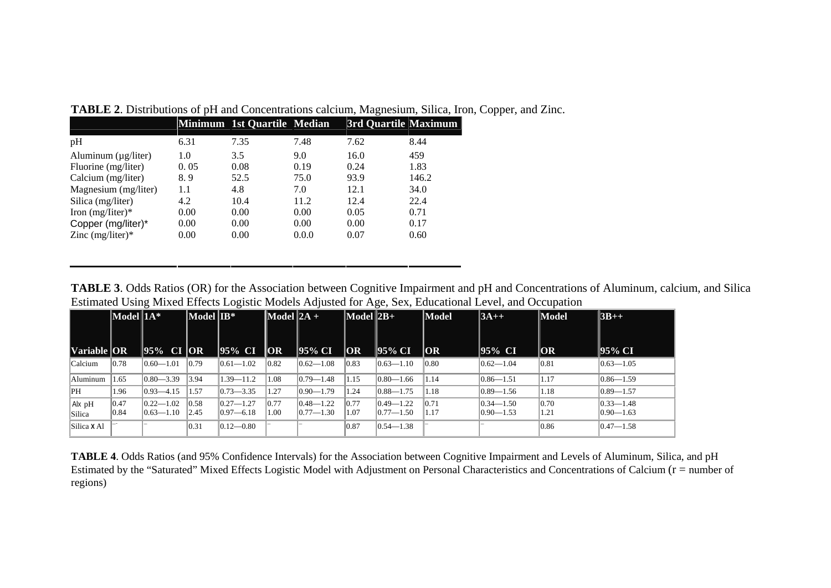|                          |      | Minimum 1st Quartile Median |       | 3rd Quartile Maximum |       |
|--------------------------|------|-----------------------------|-------|----------------------|-------|
| pH                       | 6.31 | 7.35                        | 7.48  | 7.62                 | 8.44  |
| Aluminum $(\mu g/liter)$ | 1.0  | 3.5                         | 9.0   | 16.0                 | 459   |
| Fluorine (mg/liter)      | 0.05 | 0.08                        | 0.19  | 0.24                 | 1.83  |
| Calcium (mg/liter)       | 8.9  | 52.5                        | 75.0  | 93.9                 | 146.2 |
| Magnesium (mg/liter)     | 1.1  | 4.8                         | 7.0   | 12.1                 | 34.0  |
| Silica (mg/liter)        | 4.2  | 10.4                        | 11.2  | 12.4                 | 22.4  |
| Iron $(mg/liter)*$       | 0.00 | 0.00                        | 0.00  | 0.05                 | 0.71  |
| Copper (mg/liter)*       | 0.00 | 0.00                        | 0.00  | 0.00                 | 0.17  |
| Zinc $(mg/liter)*$       | 0.00 | 0.00                        | 0.0.0 | 0.07                 | 0.60  |

**TABLE 2**. Distributions of pH and Concentrations calcium, Magnesium, Silica, Iron, Copper, and Zinc.

**TABLE 3**. Odds Ratios (OR) for the Association between Cognitive Impairment and pH and Concentrations of Aluminum, calcium, and Silica Estimated Using Mixed Effects Logistic Models Adjusted for Age, Sex, Educational Level, and Occupation

|                    | $\vert$ Model $\vert$ 1A* |                                    | Model IB*    |                                  | $\vert$ Model $\vert$ 2A + |                                   | $\sqrt{\text{Model}}\left 2B+\right $ |                                    | Model        | $ 3A++$                            | Model                  | $ 3B++$                            |
|--------------------|---------------------------|------------------------------------|--------------|----------------------------------|----------------------------|-----------------------------------|---------------------------------------|------------------------------------|--------------|------------------------------------|------------------------|------------------------------------|
|                    |                           |                                    |              |                                  |                            |                                   |                                       |                                    |              |                                    |                        |                                    |
| <b>Variable OR</b> |                           | 95% CI OR                          |              | 95% CI                           | OR                         | 95% CI                            | <b>OR</b>                             | 95% CI                             | OR           | 95% CI                             | <b>OR</b>              | 95% CI                             |
| Calcium            | 0.78                      | $ 0.60 - 1.01$                     | 0.79         | $ 0.61 - 1.02$                   | 0.82                       | $ 0.62 - 1.08 $                   | 0.83                                  | $ 0.63 - 1.10 $                    | 0.80         | $ 0.62 - 1.04 $                    | 0.81                   | $ 0.63 - 1.05$                     |
| Aluminum           | 1.65                      | $ 0.80 - 3.39 $                    | 3.94         | $1.39 - 11.2$                    | 1.08                       | $ 0.79 - 1.48 $                   | 1.15                                  | $ 0.80 - 1.66 $                    | 1.14         | $ 0.86 - 1.51$                     | 1.17                   | $ 0.86 - 1.59$                     |
| PH                 | 1.96                      | $ 0.93 - 4.15 $                    | 1.57         | $ 0.73 - 3.35 $                  | 1.27                       | $ 0.90 - 1.79 $                   | 1.24                                  | $ 0.88 - 1.75$                     | 1.18         | $ 0.89 - 1.56 $                    | 1.18                   | $ 0.89 - 1.57$                     |
| Alx pH<br>Silica   | 0.47<br>$ 0.84\rangle$    | $ 0.22 - 1.02 $<br>$ 0.63 - 1.10 $ | 0.58<br>2.45 | $ 0.27 - 1.27$<br>$ 0.97 - 6.18$ | 0.77<br>1.00               | $ 0.48 - 1.22$<br>$ 0.77 - 1.30 $ | 0.77<br>1.07                          | $ 0.49 - 1.22 $<br>$ 0.77 - 1.50 $ | 0.71<br>1.17 | $ 0.34 - 1.50 $<br>$ 0.90 - 1.53 $ | $ 0.70\rangle$<br>1.21 | $ 0.33 - 1.48 $<br>$ 0.90 - 1.63 $ |
| Silica X Al        |                           |                                    | 0.31         | $ 0.12 - 0.80 $                  |                            |                                   | 10.87                                 | $ 0.54 - 1.38 $                    |              |                                    | 0.86                   | $ 0.47 - 1.58$                     |

**TABLE 4**. Odds Ratios (and 95% Confidence Intervals) for the Association between Cognitive Impairment and Levels of Aluminum, Silica, and pH Estimated by the "Saturated" Mixed Effects Logistic Model with Adjustment on Personal Characteristics and Concentrations of Calcium (r = number of regions)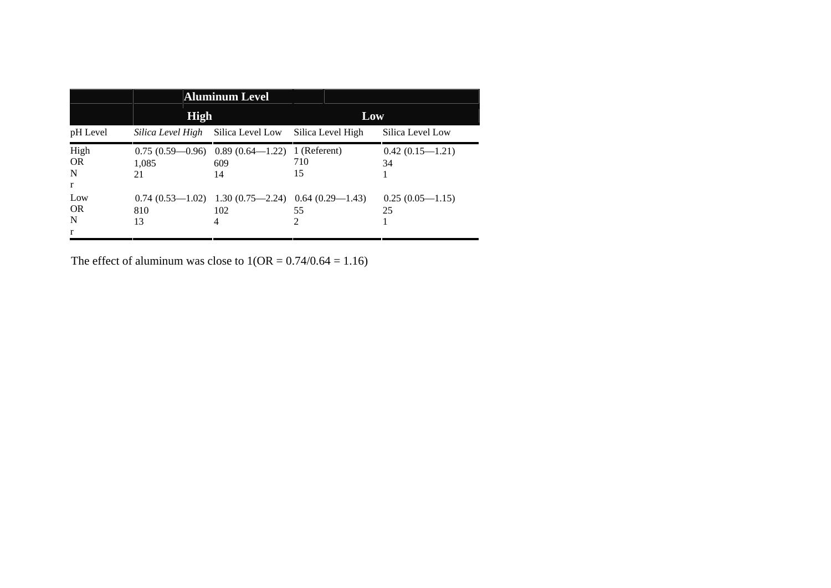|                                        |                   | <b>Aluminum Level</b>                                                  |                   |                         |  |
|----------------------------------------|-------------------|------------------------------------------------------------------------|-------------------|-------------------------|--|
|                                        | <b>High</b>       |                                                                        | Low               |                         |  |
| pH Level                               | Silica Level High | Silica Level Low                                                       | Silica Level High | Silica Level Low        |  |
| High<br><b>OR</b><br>N<br>$\mathbf{r}$ | 1.085<br>21       | $0.75(0.59-0.96)$ 0.89 $(0.64-1.22)$ 1 (Referent)<br>609<br>14         | 710<br>15         | $0.42(0.15-1.21)$<br>34 |  |
| Low<br><b>OR</b><br>N<br>r             | 810<br>13         | $0.74$ $(0.53-1.02)$ 1.30 $(0.75-2.24)$ 0.64 $(0.29-1.43)$<br>102<br>4 | 55<br>2           | $0.25(0.05-1.15)$<br>25 |  |

The effect of aluminum was close to  $1(OR = 0.74/0.64 = 1.16)$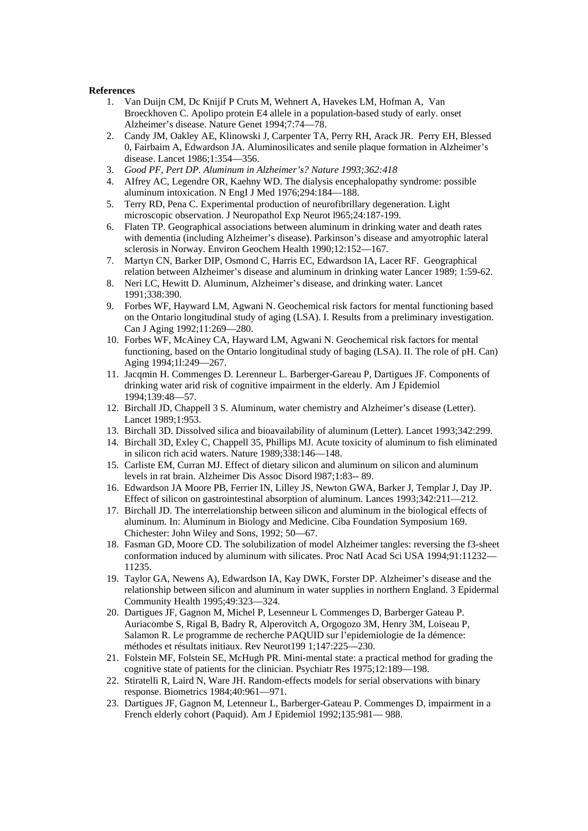#### **References**

- 1. Van Duijn CM, Dc Knijif P Cruts M, Wehnert A, Havekes LM, Hofman A, Van Broeckhoven C. Apolipo protein E4 allele in a population-based study of early. onset Alzheimer's disease. Nature Genet 1994;7:74—78.
- 2. Candy JM, Oakley AE, Klinowski J, Carpenter TA, Perry RH, Arack JR. Perry EH, Blessed 0, Fairbaim A, Edwardson JA. Aluminosilicates and senile plaque formation in Alzheimer's disease. Lancet 1986;1:354—356.
- 3. *Good PF, Pert DP. Aluminum in Alzheimer's? Nature 1993;362:418*
- 4. AIfrey AC, Legendre OR, Kaehny WD. The dialysis encephalopathy syndrome: possible aluminum intoxication. N EngI J Med 1976;294:184—188.
- 5. Terry RD, Pena C. Experimental production of neurofibrillary degeneration. Light microscopic observation. J Neuropathol Exp Neurot l965;24:187-199.
- 6. Flaten TP. Geographical associations between aluminum in drinking water and death rates with dementia (including Alzheimer's disease). Parkinson's disease and amyotrophic lateral sclerosis in Norway. Environ Geochem Health 1990;12:152—167.
- 7. Martyn CN, Barker DIP, Osmond C, Harris EC, Edwardson IA, Lacer RF. Geographical relation between Alzheimer's disease and aluminum in drinking water Lancer 1989; 1:59-62.
- 8. Neri LC, Hewitt D. Aluminum, Alzheimer's disease, and drinking water. Lancet 1991;338:390.
- 9. Forbes WF, Hayward LM, Agwani N. Geochemical risk factors for mental functioning based on the Ontario longitudinal study of aging (LSA). I. Results from a preliminary investigation. Can J Aging 1992;11:269—280.
- 10. Forbes WF, McAiney CA, Hayward LM, Agwani N. Geochemical risk factors for mental functioning, based on the Ontario longitudinal study of baging (LSA). II. The role of pH. Can) Aging 1994;1l:249—267.
- 11. Jacqmin H. Commenges D. Lerenneur L. Barberger-Gareau P, Dartigues JF. Components of drinking water arid risk of cognitive impairment in the elderly. Am J Epidemiol 1994;139:48—57.
- 12. Birchall JD, Chappell 3 S. Aluminum, water chemistry and Alzheimer's disease (Letter). Lancet 1989;1:953.
- 13. Birchall 3D. Dissolved silica and bioavailability of aluminum (Letter). Lancet 1993;342:299.
- 14. Birchall 3D, Exley C, Chappell 35, Phillips MJ. Acute toxicity of aluminum to fish eliminated in silicon rich acid waters. Nature 1989;338:146—148.
- 15. Carliste EM, Curran MJ. Effect of dietary silicon and aluminum on silicon and aluminum levels in rat brain. Alzheimer Dis Assoc Disord l987;1:83-- 89.
- 16. Edwardson JA Moore PB, Ferrier IN, Lilley JS, Newton GWA, Barker J, Templar J, Day JP. Effect of silicon on gastrointestinal absorption of aluminum. Lances 1993;342:211—212.
- 17. Birchall JD. The interrelationship between silicon and aluminum in the biological effects of aluminum. In: Aluminum in Biology and Medicine. Ciba Foundation Symposium 169. Chichester: John Wiley and Sons, 1992; 50—67.
- 18. Fasman GD, Moore CD. The solubilization of model Alzheimer tangles: reversing the f3-sheet conformation induced by aluminum with silicates. Proc NatI Acad Sci USA 1994;91:11232— 11235.
- 19. Taylor GA, Newens A), Edwardson IA, Kay DWK, Forster DP. Alzheimer's disease and the relationship between silicon and aluminum in water supplies in northern England. 3 Epidermal Community Health 1995;49:323—324.
- 20. Dartigues JF, Gagnon M, Michel P, Lesenneur L Commenges D, Barberger Gateau P. Auriacombe S, Rigal B, Badry R, Alperovitch A, Orgogozo 3M, Henry 3M, Loiseau P, Salamon R. Le programme de recherche PAQUID sur l'epidemiologie de Ia démence: méthodes et résultats initiaux. Rev Neurot199 1;147:225—230.
- 21. Folstein MF, Folstein SE, McHugh PR. Mini-mental state: a practical method for grading the cognitive state of patients for the clinician. Psychiatr Res 1975;12:189—198.
- 22. Stiratelli R, Laird N, Ware JH. Random-effects models for serial observations with binary response. Biometrics 1984;40:961—971.
- 23. Dartigues JF, Gagnon M, Letenneur L, Barberger-Gateau P. Commenges D, impairment in a French elderly cohort (Paquid). Am J Epidemiol 1992;135:981— 988.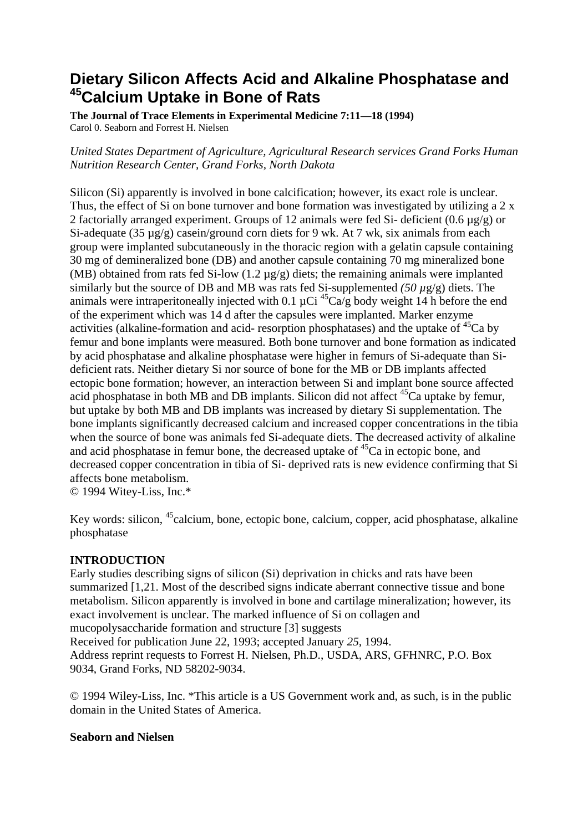## **Dietary Silicon Affects Acid and Alkaline Phosphatase and 45Calcium Uptake in Bone of Rats**

**The Journal of Trace Elements in Experimental Medicine 7:11—18 (1994)** Carol 0. Seaborn and Forrest H. Nielsen

*United States Department of Agriculture, Agricultural Research services Grand Forks Human Nutrition Research Center, Grand Forks, North Dakota* 

Silicon (Si) apparently is involved in bone calcification; however, its exact role is unclear. Thus, the effect of Si on bone turnover and bone formation was investigated by utilizing a 2 x 2 factorially arranged experiment. Groups of 12 animals were fed Si- deficient  $(0.6 \mu g/g)$  or Si-adequate (35  $\mu$ g/g) casein/ground corn diets for 9 wk. At 7 wk, six animals from each group were implanted subcutaneously in the thoracic region with a gelatin capsule containing 30 mg of demineralized bone (DB) and another capsule containing 70 mg mineralized bone (MB) obtained from rats fed Si-low  $(1.2 \mu g/g)$  diets; the remaining animals were implanted similarly but the source of DB and MB was rats fed Si-supplemented *(50 µ*g/g) diets. The animals were intraperitoneally injected with 0.1  $\mu$ Ci <sup>45</sup>Ca/g body weight 14 h before the end of the experiment which was 14 d after the capsules were implanted. Marker enzyme activities (alkaline-formation and acid- resorption phosphatases) and the uptake of  ${}^{45}Ca$  by femur and bone implants were measured. Both bone turnover and bone formation as indicated by acid phosphatase and alkaline phosphatase were higher in femurs of Si-adequate than Sideficient rats. Neither dietary Si nor source of bone for the MB or DB implants affected ectopic bone formation; however, an interaction between Si and implant bone source affected acid phosphatase in both MB and DB implants. Silicon did not affect <sup>45</sup>Ca uptake by femur. but uptake by both MB and DB implants was increased by dietary Si supplementation. The bone implants significantly decreased calcium and increased copper concentrations in the tibia when the source of bone was animals fed Si-adequate diets. The decreased activity of alkaline and acid phosphatase in femur bone, the decreased uptake of  ${}^{45}Ca$  in ectopic bone, and decreased copper concentration in tibia of Si- deprived rats is new evidence confirming that Si affects bone metabolism.

© 1994 Witey-Liss, Inc.\*

Key words: silicon, <sup>45</sup>calcium, bone, ectopic bone, calcium, copper, acid phosphatase, alkaline phosphatase

## **INTRODUCTION**

Early studies describing signs of silicon (Si) deprivation in chicks and rats have been summarized [1,21. Most of the described signs indicate aberrant connective tissue and bone metabolism. Silicon apparently is involved in bone and cartilage mineralization; however, its exact involvement is unclear. The marked influence of Si on collagen and mucopolysaccharide formation and structure [3] suggests Received for publication June 22, 1993; accepted January *25,* 1994.

Address reprint requests to Forrest H. Nielsen, Ph.D., USDA, ARS, GFHNRC, P.O. Box 9034, Grand Forks, ND 58202-9034.

© 1994 Wiley-Liss, Inc. \*This article is a US Government work and, as such, is in the public domain in the United States of America.

## **Seaborn and Nielsen**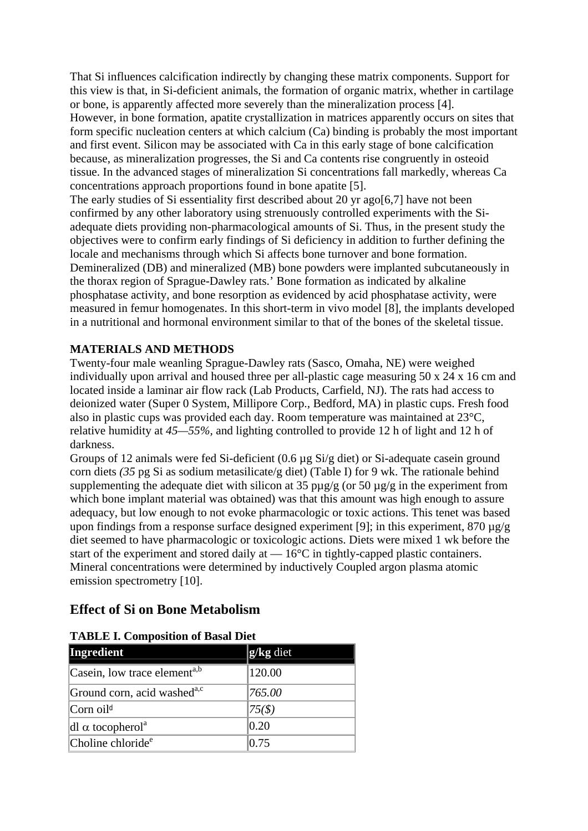That Si influences calcification indirectly by changing these matrix components. Support for this view is that, in Si-deficient animals, the formation of organic matrix, whether in cartilage or bone, is apparently affected more severely than the mineralization process [4]. However, in bone formation, apatite crystallization in matrices apparently occurs on sites that form specific nucleation centers at which calcium (Ca) binding is probably the most important and first event. Silicon may be associated with Ca in this early stage of bone calcification because, as mineralization progresses, the Si and Ca contents rise congruently in osteoid tissue. In the advanced stages of mineralization Si concentrations fall markedly, whereas Ca concentrations approach proportions found in bone apatite [5].

The early studies of Si essentiality first described about 20 yr ago[6,7] have not been confirmed by any other laboratory using strenuously controlled experiments with the Siadequate diets providing non-pharmacological amounts of Si. Thus, in the present study the objectives were to confirm early findings of Si deficiency in addition to further defining the locale and mechanisms through which Si affects bone turnover and bone formation. Demineralized (DB) and mineralized (MB) bone powders were implanted subcutaneously in the thorax region of Sprague-Dawley rats.' Bone formation as indicated by alkaline phosphatase activity, and bone resorption as evidenced by acid phosphatase activity, were measured in femur homogenates. In this short-term in vivo model [8], the implants developed in a nutritional and hormonal environment similar to that of the bones of the skeletal tissue.

## **MATERIALS AND METHODS**

Twenty-four male weanling Sprague-Dawley rats (Sasco, Omaha, NE) were weighed individually upon arrival and housed three per all-plastic cage measuring 50 x 24 x 16 cm and located inside a laminar air flow rack (Lab Products, Carfield, NJ). The rats had access to deionized water (Super 0 System, Millipore Corp., Bedford, MA) in plastic cups. Fresh food also in plastic cups was provided each day. Room temperature was maintained at 23°C, relative humidity at *45—55%,* and lighting controlled to provide 12 h of light and 12 h of darkness.

Groups of 12 animals were fed Si-deficient (0.6 µg Si/g diet) or Si-adequate casein ground corn diets *(35* pg Si as sodium metasilicate/g diet) (Table I) for 9 wk. The rationale behind supplementing the adequate diet with silicon at 35  $\frac{p\mu g}{g}$  (or 50  $\frac{\mu g}{g}$  in the experiment from which bone implant material was obtained) was that this amount was high enough to assure adequacy, but low enough to not evoke pharmacologic or toxic actions. This tenet was based upon findings from a response surface designed experiment [9]; in this experiment,  $870 \mu g/g$ diet seemed to have pharmacologic or toxicologic actions. Diets were mixed 1 wk before the start of the experiment and stored daily at —  $16^{\circ}$ C in tightly-capped plastic containers. Mineral concentrations were determined by inductively Coupled argon plasma atomic emission spectrometry [10].

## **Effect of Si on Bone Metabolism**

| Ingredient                               | $\mathbf{g}/\mathbf{kg}$ diet |
|------------------------------------------|-------------------------------|
| Casein, low trace element <sup>a,b</sup> | 120.00                        |
| Ground corn, acid washed <sup>a,c</sup>  | 765.00                        |
| $\lfloor$ Corn oil <sup>d</sup>          | $ 75($ \$)                    |
| dl $\alpha$ tocopherol <sup>a</sup>      | $ 0.20\rangle$                |
| Choline chloride <sup>e</sup>            | 0.75                          |

## **TABLE I. Composition of Basal Diet**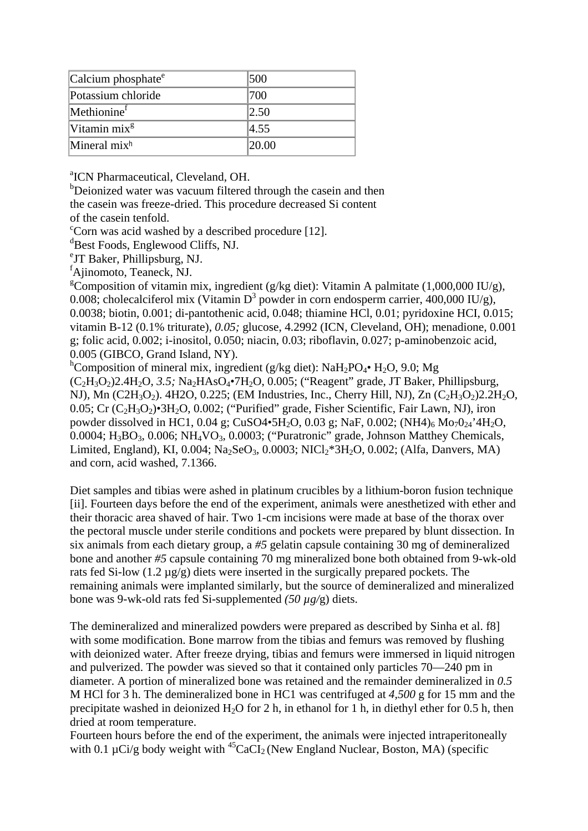| Calcium phosphate $^e$   | 500   |
|--------------------------|-------|
| Potassium chloride       | 700   |
| Methionine <sup>†</sup>  | 2.50  |
| Vitamin $mixg$           | 4.55  |
| Mineral mix <sup>h</sup> | 20.00 |

<sup>a</sup> ICN Pharmaceutical, Cleveland, OH.

Deionized water was vacuum filtered through the casein and then the casein was freeze-dried. This procedure decreased Si content of the casein tenfold.

<sup>c</sup>Corn was acid washed by a described procedure [12].

d Best Foods, Englewood Cliffs, NJ.

e JT Baker, Phillipsburg, NJ.<sup>f</sup>

Ajinomoto, Teaneck, NJ.

<sup>g</sup>Composition of vitamin mix, ingredient (g/kg diet): Vitamin A palmitate (1,000,000 IU/g), 0.008; cholecalciferol mix (Vitamin D<sup>3</sup> powder in corn endosperm carrier, 400,000 IU/g), 0.0038; biotin, 0.001; di-pantothenic acid, 0.048; thiamine HCl, 0.01; pyridoxine HCI, 0.015; vitamin B-12 (0.1% triturate), *0.05;* glucose, 4.2992 (ICN, Cleveland, OH); menadione, 0.001 g; folic acid, 0.002; i-inositol, 0.050; niacin, 0.03; riboflavin, 0.027; p-aminobenzoic acid, 0.005 (GIBCO, Grand Island, NY).<sup>h</sup>

<sup>h</sup>Composition of mineral mix, ingredient (g/kg diet): NaH<sub>2</sub>PO<sub>4</sub>• H<sub>2</sub>O, 9.0; Mg

(C2H3O2)2.4H2O, *3.5;* Na2HAsO4•7H2O, 0.005; ("Reagent" grade, JT Baker, Phillipsburg, NJ), Mn (C2H<sub>3</sub>O<sub>2</sub>). 4H2O, 0.225; (EM Industries, Inc., Cherry Hill, NJ), Zn (C<sub>2</sub>H<sub>3</sub>O<sub>2</sub>)2.2H<sub>2</sub>O, 0.05; Cr  $(C_2H_3O_2)$ •3H<sub>2</sub>O, 0.002; ("Purified" grade, Fisher Scientific, Fair Lawn, NJ), iron powder dissolved in HC1, 0.04 g; CuSO4•5H<sub>2</sub>O, 0.03 g; NaF, 0.002; (NH4)<sub>6</sub> Mo<sub>7</sub>O<sub>24</sub>'4H<sub>2</sub>O, 0.0004; H<sub>3</sub>BO<sub>3</sub>, 0.006; NH<sub>4</sub>VO<sub>3</sub>, 0.0003; ("Puratronic" grade, Johnson Matthey Chemicals, Limited, England), KI, 0.004; Na<sub>2</sub>SeO<sub>3</sub>, 0.0003; NICl<sub>2</sub>\*3H<sub>2</sub>O, 0.002; (Alfa, Danvers, MA) and corn, acid washed, 7.1366.

Diet samples and tibias were ashed in platinum crucibles by a lithium-boron fusion technique [ii]. Fourteen days before the end of the experiment, animals were anesthetized with ether and their thoracic area shaved of hair. Two 1-cm incisions were made at base of the thorax over the pectoral muscle under sterile conditions and pockets were prepared by blunt dissection. In six animals from each dietary group, a *#5* gelatin capsule containing 30 mg of demineralized bone and another *#5* capsule containing 70 mg mineralized bone both obtained from 9-wk-old rats fed Si-low (1.2 µg/g) diets were inserted in the surgically prepared pockets. The remaining animals were implanted similarly, but the source of demineralized and mineralized bone was 9-wk-old rats fed Si-supplemented *(50 µg/*g) diets.

The demineralized and mineralized powders were prepared as described by Sinha et al. f8] with some modification. Bone marrow from the tibias and femurs was removed by flushing with deionized water. After freeze drying, tibias and femurs were immersed in liquid nitrogen and pulverized. The powder was sieved so that it contained only particles 70—240 pm in diameter. A portion of mineralized bone was retained and the remainder demineralized in *0.5*  M HCl for 3 h. The demineralized bone in HC1 was centrifuged at *4,500* g for 15 mm and the precipitate washed in deionized H<sub>2</sub>O for 2 h, in ethanol for 1 h, in diethyl ether for 0.5 h, then dried at room temperature.

Fourteen hours before the end of the experiment, the animals were injected intraperitoneally with 0.1  $\mu$ Ci/g body weight with <sup>45</sup>CaCl<sub>2</sub> (New England Nuclear, Boston, MA) (specific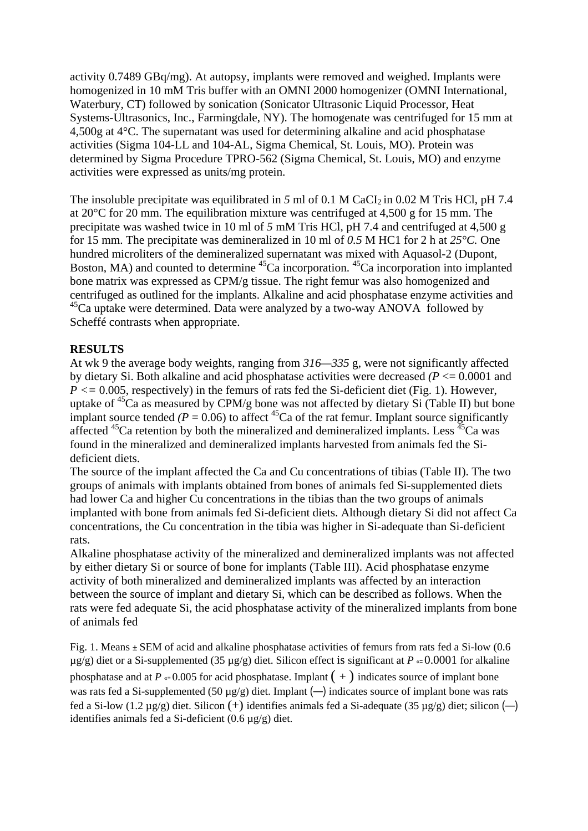activity 0.7489 GBq/mg). At autopsy, implants were removed and weighed. Implants were homogenized in 10 mM Tris buffer with an OMNI 2000 homogenizer (OMNI International, Waterbury, CT) followed by sonication (Sonicator Ultrasonic Liquid Processor, Heat Systems-Ultrasonics, Inc., Farmingdale, NY). The homogenate was centrifuged for 15 mm at 4,500g at 4°C. The supernatant was used for determining alkaline and acid phosphatase activities (Sigma 104-LL and 104-AL, Sigma Chemical, St. Louis, MO). Protein was determined by Sigma Procedure TPRO-562 (Sigma Chemical, St. Louis, MO) and enzyme activities were expressed as units/mg protein.

The insoluble precipitate was equilibrated in 5 ml of 0.1 M CaCI<sub>2</sub> in 0.02 M Tris HCl, pH 7.4 at 20 $^{\circ}$ C for 20 mm. The equilibration mixture was centrifuged at 4,500 g for 15 mm. The precipitate was washed twice in 10 ml of *5* mM Tris HCl, pH 7.4 and centrifuged at 4,500 g for 15 mm. The precipitate was demineralized in 10 ml of *0.5* M HC1 for 2 h at *25°C.* One hundred microliters of the demineralized supernatant was mixed with Aquasol-2 (Dupont, Boston, MA) and counted to determine  ${}^{45}Ca$  incorporation.  ${}^{45}Ca$  incorporation into implanted bone matrix was expressed as CPM/g tissue. The right femur was also homogenized and centrifuged as outlined for the implants. Alkaline and acid phosphatase enzyme activities and  $45$ Ca uptake were determined. Data were analyzed by a two-way ANOVA followed by Scheffé contrasts when appropriate.

## **RESULTS**

At wk 9 the average body weights, ranging from *316—335* g, were not significantly affected by dietary Si. Both alkaline and acid phosphatase activities were decreased *(P* <= 0.0001 and *P <=* 0.005, respectively) in the femurs of rats fed the Si-deficient diet (Fig. 1). However, uptake of  ${}^{45}Ca$  as measured by CPM/g bone was not affected by dietary Si (Table II) but bone implant source tended  $(P = 0.06)$  to affect <sup>45</sup>Ca of the rat femur. Implant source significantly affected  $^{45}$ Ca retention by both the mineralized and demineralized implants. Less  $^{45}$ Ca was found in the mineralized and demineralized implants harvested from animals fed the Sideficient diets.

The source of the implant affected the Ca and Cu concentrations of tibias (Table II). The two groups of animals with implants obtained from bones of animals fed Si-supplemented diets had lower Ca and higher Cu concentrations in the tibias than the two groups of animals implanted with bone from animals fed Si-deficient diets. Although dietary Si did not affect Ca concentrations, the Cu concentration in the tibia was higher in Si-adequate than Si-deficient rats.

Alkaline phosphatase activity of the mineralized and demineralized implants was not affected by either dietary Si or source of bone for implants (Table III). Acid phosphatase enzyme activity of both mineralized and demineralized implants was affected by an interaction between the source of implant and dietary Si, which can be described as follows. When the rats were fed adequate Si, the acid phosphatase activity of the mineralized implants from bone of animals fed

Fig. 1. Means **±** SEM of acid and alkaline phosphatase activities of femurs from rats fed a Si-low (0.6 µg/g) diet or a Si-supplemented (35 µg/g) diet. Silicon effect is significant at *P* «= 0.0001 for alkaline phosphatase and at  $P \leftarrow 0.005$  for acid phosphatase. Implant  $(+)$  indicates source of implant bone was rats fed a Si-supplemented (50  $\mu$ g/g) diet. Implant (-) indicates source of implant bone was rats fed a Si-low (1.2  $\mu$ g/g) diet. Silicon (+) identifies animals fed a Si-adequate (35  $\mu$ g/g) diet; silicon (-) identifies animals fed a Si-deficient (0.6 µg/g) diet.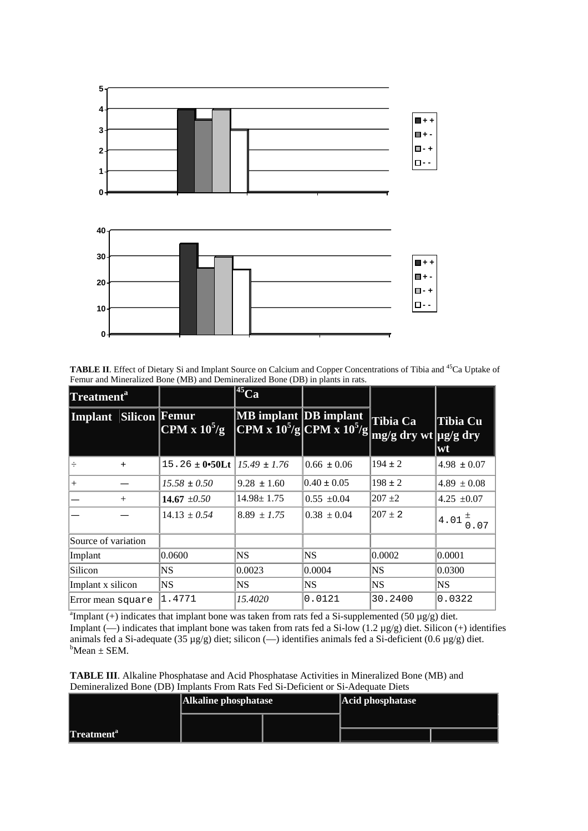

TABLE II. Effect of Dietary Si and Implant Source on Calcium and Copper Concentrations of Tibia and <sup>45</sup>Ca Uptake of Femur and Mineralized Bone (MB) and Demineralized Bone (DB) in plants in rats.

| Treatment <sup>a</sup> |                      |                                              | <b>145 Car</b>                      |                                     |                                                        |                       |
|------------------------|----------------------|----------------------------------------------|-------------------------------------|-------------------------------------|--------------------------------------------------------|-----------------------|
| <b>Implant</b>         | <b>Silicon</b> Femur | $\overline{\text{CPM} \times 10^5/\text{g}}$ | <b>MB</b> implant <b>DB</b> implant | $\frac{10^{5}}{g}$ CPM x $10^{5}/g$ | Tibia Ca<br>$\left[\text{mg/g dry wt}\right]$ ug/g dry | <b>Tibia Cu</b><br>wt |
|                        | $+$                  | $15.26 \pm 0.50$ Lt                          | $15.49 \pm 1.76$                    | $0.66 \pm 0.06$                     | $194 \pm 2$                                            | $4.98 \pm 0.07$       |
| $^{+}$                 |                      | $15.58 \pm 0.50$                             | $9.28 \pm 1.60$                     | $0.40 \pm 0.05$                     | $198 \pm 2$                                            | $4.89 \pm 0.08$       |
|                        | $^{+}$               | 14.67 $\pm 0.50$                             | $14.98 \pm 1.75$                    | $0.55 \pm 0.04$                     | $207 + 2$                                              | 4.25 $\pm 0.07$       |
|                        |                      | $14.13 \pm 0.54$                             | $8.89 \pm 1.75$                     | $0.38 \pm 0.04$                     | $207 \pm 2$                                            | $4.01 \frac{1}{0.07}$ |
| Source of variation    |                      |                                              |                                     |                                     |                                                        |                       |
| Implant                |                      | 0.0600                                       | <b>NS</b>                           | NS                                  | 0.0002                                                 | 0.0001                |
| Silicon                |                      | NS                                           | 0.0023                              | 0.0004                              | NS                                                     | 0.0300                |
| Implant x silicon      |                      | <b>NS</b>                                    | NS                                  | NS                                  | <b>NS</b>                                              | NS                    |
| Error mean square      |                      | 1.4771                                       | 15.4020                             | 0.0121                              | 30.2400                                                | 0.0322                |

<sup>a</sup> Implant (+) indicates that implant bone was taken from rats fed a Si-supplemented (50  $\mu$ g/g) diet. Implant (—) indicates that implant bone was taken from rats fed a Si-low (1.2  $\mu$ g/g) diet. Silicon (+) identifies animals fed a Si-adequate (35 µg/g) diet; silicon (—) identifies animals fed a Si-deficient (0.6 µg/g) diet.  $b$ Mean  $\pm$  SEM.

**TABLE III**. Alkaline Phosphatase and Acid Phosphatase Activities in Mineralized Bone (MB) and Demineralized Bone (DB) Implants From Rats Fed Si-Deficient or Si-Adequate Diets

| Demmentated Done (DD) milonino i rom ivao i ed or Denerent or or l'ideaaate Dieto |                      |  |                  |  |  |  |  |
|-----------------------------------------------------------------------------------|----------------------|--|------------------|--|--|--|--|
|                                                                                   | Alkaline phosphatase |  | Acid phosphatase |  |  |  |  |
|                                                                                   |                      |  |                  |  |  |  |  |
| Treatment <sup>a</sup>                                                            |                      |  |                  |  |  |  |  |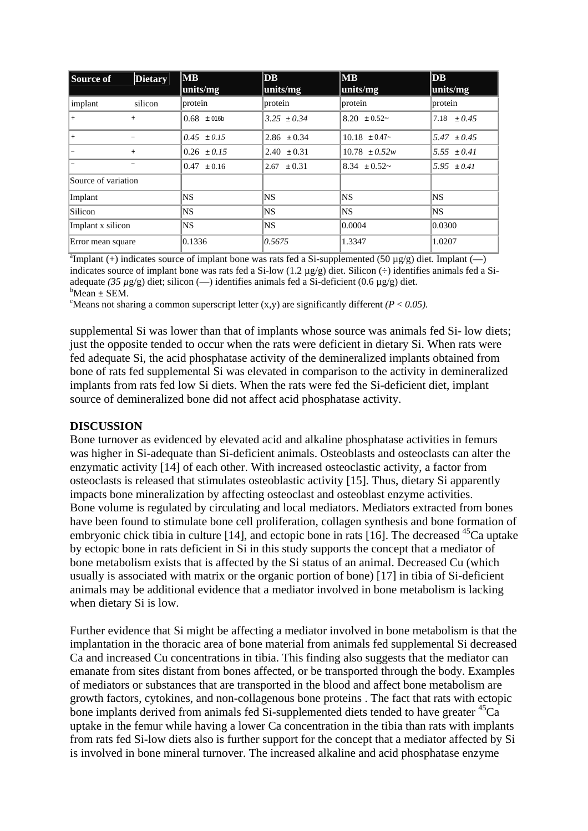| Source of           | <b>Dietary</b> | MB <br>units/mg | $\overline{\mathbf{DB}}$<br>units/mg | MB <br>units/mg   | DB<br>units/mg  |
|---------------------|----------------|-----------------|--------------------------------------|-------------------|-----------------|
| implant             | silicon        | protein         | protein                              | protein           | protein         |
| $+$                 | $+$            | $0.68 \pm 016$  | $3.25 + 0.34$                        | $8.20 \pm 0.52$ ~ | $7.18 + 0.45$   |
| $+$                 |                | $0.45 \pm 0.15$ | $2.86 \pm 0.34$                      | $10.18 \pm 0.47$  | $5.47 + 0.45$   |
|                     | $\ddot{}$      | $0.26 \pm 0.15$ | $2.40 \pm 0.31$                      | $10.78 + 0.52w$   | $5.55 + 0.41$   |
|                     |                | $0.47 \pm 0.16$ | $2.67 + 0.31$                        | $8.34 + 0.52$ ~   | 5.95 $\pm 0.41$ |
| Source of variation |                |                 |                                      |                   |                 |
| Implant             |                | <b>NS</b>       | NS.                                  | NS)               | NS.             |
| Silicon             |                | NS              | NS.                                  | NS.               | NS.             |
| Implant x silicon   |                | NS.             | NS.                                  | 0.0004            | 0.0300          |
| Error mean square   |                | 0.1336          | 0.5675                               | 1.3347            | 1.0207          |

<sup>a</sup>Implant (+) indicates source of implant bone was rats fed a Si-supplemented (50  $\mu$ g/g) diet. Implant (--) indicates source of implant bone was rats fed a Si-low  $(1.2 \mu g/g)$  diet. Silicon  $\leftrightarrow$  identifies animals fed a Siadequate (35 µg/g) diet; silicon (--) identifies animals fed a Si-deficient (0.6 µg/g) diet.  $b$ Mean  $\pm$  SEM.

<sup>c</sup>Means not sharing a common superscript letter  $(x,y)$  are significantly different  $(P < 0.05)$ .

supplemental Si was lower than that of implants whose source was animals fed Si- low diets; just the opposite tended to occur when the rats were deficient in dietary Si. When rats were fed adequate Si, the acid phosphatase activity of the demineralized implants obtained from bone of rats fed supplemental Si was elevated in comparison to the activity in demineralized implants from rats fed low Si diets. When the rats were fed the Si-deficient diet, implant source of demineralized bone did not affect acid phosphatase activity.

## **DISCUSSION**

Bone turnover as evidenced by elevated acid and alkaline phosphatase activities in femurs was higher in Si-adequate than Si-deficient animals. Osteoblasts and osteoclasts can alter the enzymatic activity [14] of each other. With increased osteoclastic activity, a factor from osteoclasts is released that stimulates osteoblastic activity [15]. Thus, dietary Si apparently impacts bone mineralization by affecting osteoclast and osteoblast enzyme activities. Bone volume is regulated by circulating and local mediators. Mediators extracted from bones have been found to stimulate bone cell proliferation, collagen synthesis and bone formation of embryonic chick tibia in culture [14], and ectopic bone in rats [16]. The decreased  $^{45}$ Ca uptake by ectopic bone in rats deficient in Si in this study supports the concept that a mediator of bone metabolism exists that is affected by the Si status of an animal. Decreased Cu (which usually is associated with matrix or the organic portion of bone) [17] in tibia of Si-deficient animals may be additional evidence that a mediator involved in bone metabolism is lacking when dietary Si is low.

Further evidence that Si might be affecting a mediator involved in bone metabolism is that the implantation in the thoracic area of bone material from animals fed supplemental Si decreased Ca and increased Cu concentrations in tibia. This finding also suggests that the mediator can emanate from sites distant from bones affected, or be transported through the body. Examples of mediators or substances that are transported in the blood and affect bone metabolism are growth factors, cytokines, and non-collagenous bone proteins . The fact that rats with ectopic bone implants derived from animals fed Si-supplemented diets tended to have greater <sup>45</sup>Ca uptake in the femur while having a lower Ca concentration in the tibia than rats with implants from rats fed Si-low diets also is further support for the concept that a mediator affected by Si is involved in bone mineral turnover. The increased alkaline and acid phosphatase enzyme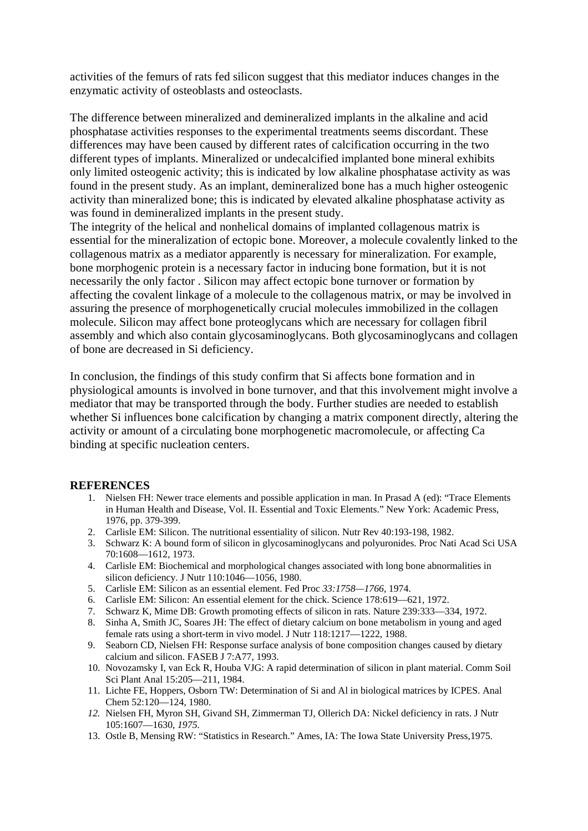activities of the femurs of rats fed silicon suggest that this mediator induces changes in the enzymatic activity of osteoblasts and osteoclasts.

The difference between mineralized and demineralized implants in the alkaline and acid phosphatase activities responses to the experimental treatments seems discordant. These differences may have been caused by different rates of calcification occurring in the two different types of implants. Mineralized or undecalcified implanted bone mineral exhibits only limited osteogenic activity; this is indicated by low alkaline phosphatase activity as was found in the present study. As an implant, demineralized bone has a much higher osteogenic activity than mineralized bone; this is indicated by elevated alkaline phosphatase activity as was found in demineralized implants in the present study.

The integrity of the helical and nonhelical domains of implanted collagenous matrix is essential for the mineralization of ectopic bone. Moreover, a molecule covalently linked to the collagenous matrix as a mediator apparently is necessary for mineralization. For example, bone morphogenic protein is a necessary factor in inducing bone formation, but it is not necessarily the only factor . Silicon may affect ectopic bone turnover or formation by affecting the covalent linkage of a molecule to the collagenous matrix, or may be involved in assuring the presence of morphogenetically crucial molecules immobilized in the collagen molecule. Silicon may affect bone proteoglycans which are necessary for collagen fibril assembly and which also contain glycosaminoglycans. Both glycosaminoglycans and collagen of bone are decreased in Si deficiency.

In conclusion, the findings of this study confirm that Si affects bone formation and in physiological amounts is involved in bone turnover, and that this involvement might involve a mediator that may be transported through the body. Further studies are needed to establish whether Si influences bone calcification by changing a matrix component directly, altering the activity or amount of a circulating bone morphogenetic macromolecule, or affecting Ca binding at specific nucleation centers.

## **REFERENCES**

- 1. Nielsen FH: Newer trace elements and possible application in man. In Prasad A (ed): "Trace Elements in Human Health and Disease, Vol. II. Essential and Toxic Elements." New York: Academic Press, 1976, pp. 379-399.
- 2. Carlisle EM: Silicon. The nutritional essentiality of silicon. Nutr Rev 40:193-198, 1982.
- 3. Schwarz K: A bound form of silicon in glycosaminoglycans and polyuronides. Proc Nati Acad Sci USA 70:1608—1612, 1973.
- 4. Carlisle EM: Biochemical and morphological changes associated with long bone abnormalities in silicon deficiency. J Nutr 110:1046—1056, 1980.
- 5. Carlisle EM: Silicon as an essential element. Fed Proc *33:1758—1766,* 1974.
- 6. Carlisle EM: Silicon: An essential element for the chick. Science 178:619—621, 1972.
- 7. Schwarz K, Mime DB: Growth promoting effects of silicon in rats. Nature 239:333—334, 1972.
- 8. Sinha A, Smith JC, Soares JH: The effect of dietary calcium on bone metabolism in young and aged female rats using a short-term in vivo model. J Nutr 118:1217—1222, 1988.
- 9. Seaborn CD, Nielsen FH: Response surface analysis of bone composition changes caused by dietary calcium and silicon. FASEB J 7:A77, 1993.
- 10. Novozamsky I, van Eck R, Houba VJG: A rapid determination of silicon in plant material. Comm Soil Sci Plant Anal 15:205—211, 1984.
- 11. Lichte FE, Hoppers, Osborn TW: Determination of Si and Al in biological matrices by ICPES. Anal Chem 52:120—124, 1980.
- *12.* Nielsen FH, Myron SH, Givand SH, Zimmerman TJ, Ollerich DA: Nickel deficiency in rats. J Nutr 105:1607—1630, *1975.*
- 13. Ostle B, Mensing RW: "Statistics in Research." Ames, IA: The Iowa State University Press,1975.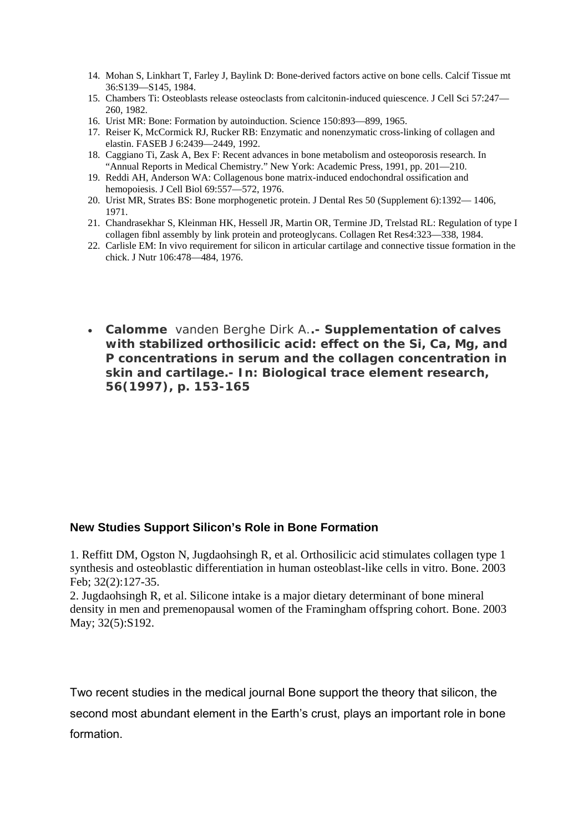- 14. Mohan S, Linkhart T, Farley J, Baylink D: Bone-derived factors active on bone cells. Calcif Tissue mt 36:S139—S145, 1984.
- 15. Chambers Ti: Osteoblasts release osteoclasts from calcitonin-induced quiescence. J Cell Sci 57:247— 260, 1982.
- 16. Urist MR: Bone: Formation by autoinduction. Science 150:893—899, 1965.
- 17. Reiser K, McCormick RJ, Rucker RB: Enzymatic and nonenzymatic cross-linking of collagen and elastin. FASEB J 6:2439—2449, 1992.
- 18. Caggiano Ti, Zask A, Bex F: Recent advances in bone metabolism and osteoporosis research. In "Annual Reports in Medical Chemistry." New York: Academic Press, 1991, pp. 201—210.
- 19. Reddi AH, Anderson WA: Collagenous bone matrix-induced endochondral ossification and hemopoiesis. J Cell Biol 69:557—572, 1976.
- 20. Urist MR, Strates BS: Bone morphogenetic protein. J Dental Res 50 (Supplement 6):1392— 1406, 1971.
- 21. Chandrasekhar S, Kleinman HK, Hessell JR, Martin OR, Termine JD, Trelstad RL: Regulation of type I collagen fibnl assembly by link protein and proteoglycans. Collagen Ret Res4:323—338, 1984.
- 22. Carlisle EM: In vivo requirement for silicon in articular cartilage and connective tissue formation in the chick. J Nutr 106:478—484, 1976.
- **Calomme** vanden Berghe Dirk A.**.-** *Supplementation of calves with stabilized orthosilicic acid: effect on the Si, Ca, Mg, and P concentrations in serum and the collagen concentration in skin and cartilage***.- In: Biological trace element research, 56(1997), p. 153-165**

## **New Studies Support Silicon's Role in Bone Formation**

1. Reffitt DM, Ogston N, Jugdaohsingh R, et al. Orthosilicic acid stimulates collagen type 1 synthesis and osteoblastic differentiation in human osteoblast-like cells in vitro. Bone. 2003 Feb; 32(2):127-35.

2. Jugdaohsingh R, et al. Silicone intake is a major dietary determinant of bone mineral density in men and premenopausal women of the Framingham offspring cohort. Bone. 2003 May; 32(5):S192.

Two recent studies in the medical journal Bone support the theory that silicon, the second most abundant element in the Earth's crust, plays an important role in bone formation.